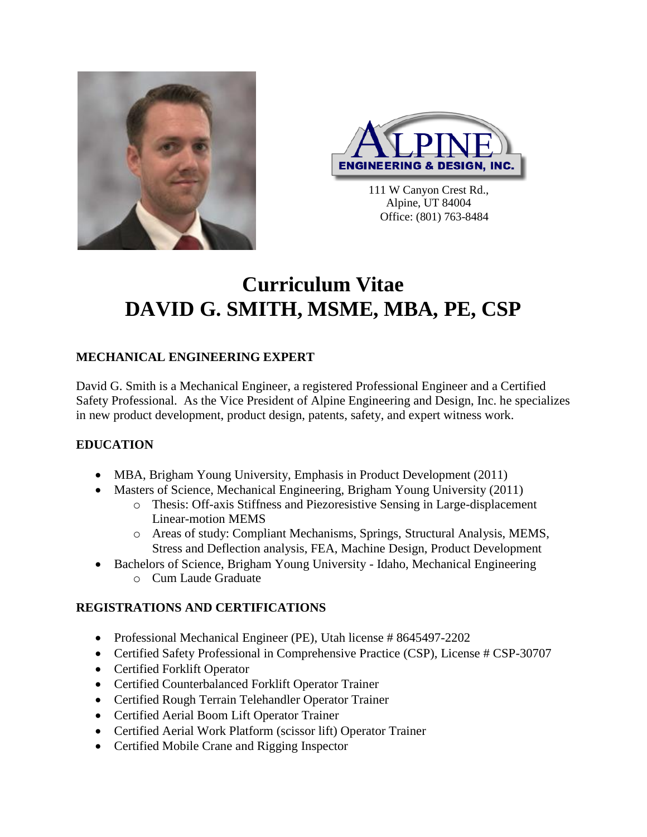



111 W Canyon Crest Rd., Alpine, UT 84004 Office: (801) 763-8484

# **Curriculum Vitae DAVID G. SMITH, MSME, MBA, PE, CSP**

# **MECHANICAL ENGINEERING EXPERT**

David G. Smith is a Mechanical Engineer, a registered Professional Engineer and a Certified Safety Professional. As the Vice President of Alpine Engineering and Design, Inc. he specializes in new product development, product design, patents, safety, and expert witness work.

### **EDUCATION**

- MBA, Brigham Young University, Emphasis in Product Development (2011)
- Masters of Science, Mechanical Engineering, Brigham Young University (2011)
	- o Thesis: Off-axis Stiffness and Piezoresistive Sensing in Large-displacement Linear-motion MEMS
	- o Areas of study: Compliant Mechanisms, Springs, Structural Analysis, MEMS, Stress and Deflection analysis, FEA, Machine Design, Product Development
- Bachelors of Science, Brigham Young University Idaho, Mechanical Engineering o Cum Laude Graduate

### **REGISTRATIONS AND CERTIFICATIONS**

- Professional Mechanical Engineer (PE), Utah license # 8645497-2202
- Certified Safety Professional in Comprehensive Practice (CSP), License # CSP-30707
- Certified Forklift Operator
- Certified Counterbalanced Forklift Operator Trainer
- Certified Rough Terrain Telehandler Operator Trainer
- Certified Aerial Boom Lift Operator Trainer
- Certified Aerial Work Platform (scissor lift) Operator Trainer
- Certified Mobile Crane and Rigging Inspector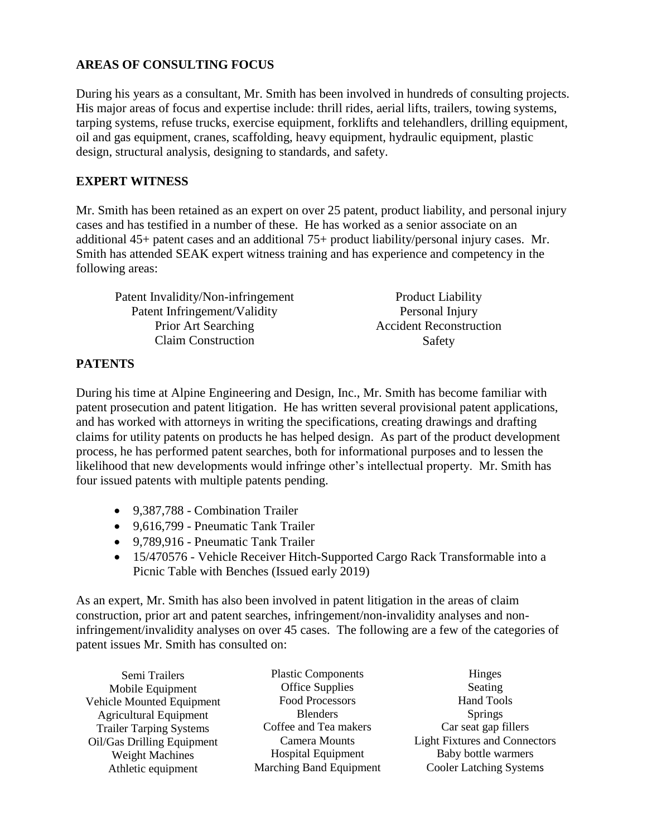## **AREAS OF CONSULTING FOCUS**

During his years as a consultant, Mr. Smith has been involved in hundreds of consulting projects. His major areas of focus and expertise include: thrill rides, aerial lifts, trailers, towing systems, tarping systems, refuse trucks, exercise equipment, forklifts and telehandlers, drilling equipment, oil and gas equipment, cranes, scaffolding, heavy equipment, hydraulic equipment, plastic design, structural analysis, designing to standards, and safety.

#### **EXPERT WITNESS**

Mr. Smith has been retained as an expert on over 25 patent, product liability, and personal injury cases and has testified in a number of these. He has worked as a senior associate on an additional 45+ patent cases and an additional 75+ product liability/personal injury cases. Mr. Smith has attended SEAK expert witness training and has experience and competency in the following areas:

| Patent Invalidity/Non-infringement | <b>Product Liability</b>       |
|------------------------------------|--------------------------------|
| Patent Infringement/Validity       | Personal Injury                |
| Prior Art Searching                | <b>Accident Reconstruction</b> |
| <b>Claim Construction</b>          | Safety                         |

#### **PATENTS**

During his time at Alpine Engineering and Design, Inc., Mr. Smith has become familiar with patent prosecution and patent litigation. He has written several provisional patent applications, and has worked with attorneys in writing the specifications, creating drawings and drafting claims for utility patents on products he has helped design. As part of the product development process, he has performed patent searches, both for informational purposes and to lessen the likelihood that new developments would infringe other's intellectual property. Mr. Smith has four issued patents with multiple patents pending.

- 9,387,788 Combination Trailer
- 9,616,799 Pneumatic Tank Trailer
- 9,789,916 Pneumatic Tank Trailer
- 15/470576 Vehicle Receiver Hitch-Supported Cargo Rack Transformable into a Picnic Table with Benches (Issued early 2019)

As an expert, Mr. Smith has also been involved in patent litigation in the areas of claim construction, prior art and patent searches, infringement/non-invalidity analyses and noninfringement/invalidity analyses on over 45 cases. The following are a few of the categories of patent issues Mr. Smith has consulted on:

| Semi Trailers                  | <b>Plastic Components</b>      | Hinges                               |
|--------------------------------|--------------------------------|--------------------------------------|
| Mobile Equipment               | <b>Office Supplies</b>         | Seating                              |
| Vehicle Mounted Equipment      | Food Processors                | <b>Hand Tools</b>                    |
| <b>Agricultural Equipment</b>  | <b>Blenders</b>                | <b>Springs</b>                       |
| <b>Trailer Tarping Systems</b> | Coffee and Tea makers          | Car seat gap fillers                 |
| Oil/Gas Drilling Equipment     | Camera Mounts                  | <b>Light Fixtures and Connectors</b> |
| <b>Weight Machines</b>         | <b>Hospital Equipment</b>      | Baby bottle warmers                  |
| Athletic equipment             | <b>Marching Band Equipment</b> | <b>Cooler Latching Systems</b>       |